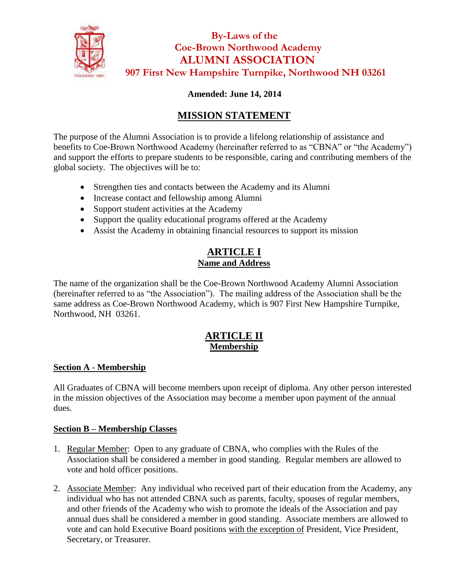

 **By-Laws of the Coe-Brown Northwood Academy ALUMNI ASSOCIATION 907 First New Hampshire Turnpike, Northwood NH 03261**

# **Amended: June 14, 2014**

# **MISSION STATEMENT**

The purpose of the Alumni Association is to provide a lifelong relationship of assistance and benefits to Coe-Brown Northwood Academy (hereinafter referred to as "CBNA" or "the Academy") and support the efforts to prepare students to be responsible, caring and contributing members of the global society. The objectives will be to:

- Strengthen ties and contacts between the Academy and its Alumni
- Increase contact and fellowship among Alumni
- Support student activities at the Academy
- Support the quality educational programs offered at the Academy
- Assist the Academy in obtaining financial resources to support its mission

# **ARTICLE I Name and Address**

The name of the organization shall be the Coe-Brown Northwood Academy Alumni Association (hereinafter referred to as "the Association"). The mailing address of the Association shall be the same address as Coe-Brown Northwood Academy, which is 907 First New Hampshire Turnpike, Northwood, NH 03261.

# **ARTICLE II Membership**

## **Section A - Membership**

All Graduates of CBNA will become members upon receipt of diploma. Any other person interested in the mission objectives of the Association may become a member upon payment of the annual dues.

## **Section B – Membership Classes**

- 1. Regular Member: Open to any graduate of CBNA, who complies with the Rules of the Association shall be considered a member in good standing. Regular members are allowed to vote and hold officer positions.
- 2. Associate Member: Any individual who received part of their education from the Academy, any individual who has not attended CBNA such as parents, faculty, spouses of regular members, and other friends of the Academy who wish to promote the ideals of the Association and pay annual dues shall be considered a member in good standing. Associate members are allowed to vote and can hold Executive Board positions with the exception of President, Vice President, Secretary, or Treasurer.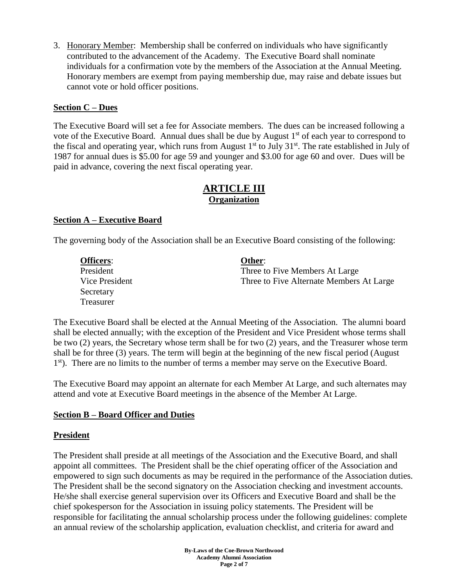3. Honorary Member: Membership shall be conferred on individuals who have significantly contributed to the advancement of the Academy. The Executive Board shall nominate individuals for a confirmation vote by the members of the Association at the Annual Meeting. Honorary members are exempt from paying membership due, may raise and debate issues but cannot vote or hold officer positions.

### **Section C – Dues**

The Executive Board will set a fee for Associate members. The dues can be increased following a vote of the Executive Board. Annual dues shall be due by August 1<sup>st</sup> of each year to correspond to the fiscal and operating year, which runs from August  $1<sup>st</sup>$  to July  $31<sup>st</sup>$ . The rate established in July of 1987 for annual dues is \$5.00 for age 59 and younger and \$3.00 for age 60 and over. Dues will be paid in advance, covering the next fiscal operating year.

### **ARTICLE III Organization**

### **Section A – Executive Board**

The governing body of the Association shall be an Executive Board consisting of the following:

| <b>Officers:</b> | Other:                                   |
|------------------|------------------------------------------|
| President        | Three to Five Members At Large           |
| Vice President   | Three to Five Alternate Members At Large |
| Secretary        |                                          |
| Treasurer        |                                          |

The Executive Board shall be elected at the Annual Meeting of the Association. The alumni board shall be elected annually; with the exception of the President and Vice President whose terms shall be two (2) years, the Secretary whose term shall be for two (2) years, and the Treasurer whose term shall be for three (3) years. The term will begin at the beginning of the new fiscal period (August 1<sup>st</sup>). There are no limits to the number of terms a member may serve on the Executive Board.

The Executive Board may appoint an alternate for each Member At Large, and such alternates may attend and vote at Executive Board meetings in the absence of the Member At Large.

### **Section B – Board Officer and Duties**

### **President**

The President shall preside at all meetings of the Association and the Executive Board, and shall appoint all committees. The President shall be the chief operating officer of the Association and empowered to sign such documents as may be required in the performance of the Association duties. The President shall be the second signatory on the Association checking and investment accounts. He/she shall exercise general supervision over its Officers and Executive Board and shall be the chief spokesperson for the Association in issuing policy statements. The President will be responsible for facilitating the annual scholarship process under the following guidelines: complete an annual review of the scholarship application, evaluation checklist, and criteria for award and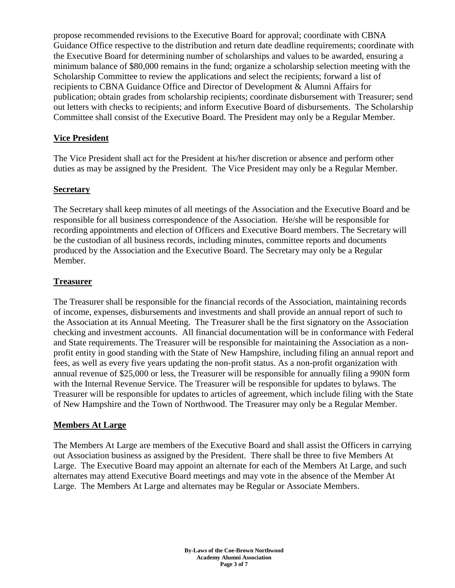propose recommended revisions to the Executive Board for approval; coordinate with CBNA Guidance Office respective to the distribution and return date deadline requirements; coordinate with the Executive Board for determining number of scholarships and values to be awarded, ensuring a minimum balance of \$80,000 remains in the fund; organize a scholarship selection meeting with the Scholarship Committee to review the applications and select the recipients; forward a list of recipients to CBNA Guidance Office and Director of Development & Alumni Affairs for publication; obtain grades from scholarship recipients; coordinate disbursement with Treasurer; send out letters with checks to recipients; and inform Executive Board of disbursements. The Scholarship Committee shall consist of the Executive Board. The President may only be a Regular Member.

### **Vice President**

The Vice President shall act for the President at his/her discretion or absence and perform other duties as may be assigned by the President. The Vice President may only be a Regular Member.

### **Secretary**

The Secretary shall keep minutes of all meetings of the Association and the Executive Board and be responsible for all business correspondence of the Association. He/she will be responsible for recording appointments and election of Officers and Executive Board members. The Secretary will be the custodian of all business records, including minutes, committee reports and documents produced by the Association and the Executive Board. The Secretary may only be a Regular Member.

### **Treasurer**

The Treasurer shall be responsible for the financial records of the Association, maintaining records of income, expenses, disbursements and investments and shall provide an annual report of such to the Association at its Annual Meeting. The Treasurer shall be the first signatory on the Association checking and investment accounts. All financial documentation will be in conformance with Federal and State requirements. The Treasurer will be responsible for maintaining the Association as a nonprofit entity in good standing with the State of New Hampshire, including filing an annual report and fees, as well as every five years updating the non-profit status. As a non-profit organization with annual revenue of \$25,000 or less, the Treasurer will be responsible for annually filing a 990N form with the Internal Revenue Service. The Treasurer will be responsible for updates to bylaws. The Treasurer will be responsible for updates to articles of agreement, which include filing with the State of New Hampshire and the Town of Northwood. The Treasurer may only be a Regular Member.

### **Members At Large**

The Members At Large are members of the Executive Board and shall assist the Officers in carrying out Association business as assigned by the President. There shall be three to five Members At Large. The Executive Board may appoint an alternate for each of the Members At Large, and such alternates may attend Executive Board meetings and may vote in the absence of the Member At Large. The Members At Large and alternates may be Regular or Associate Members.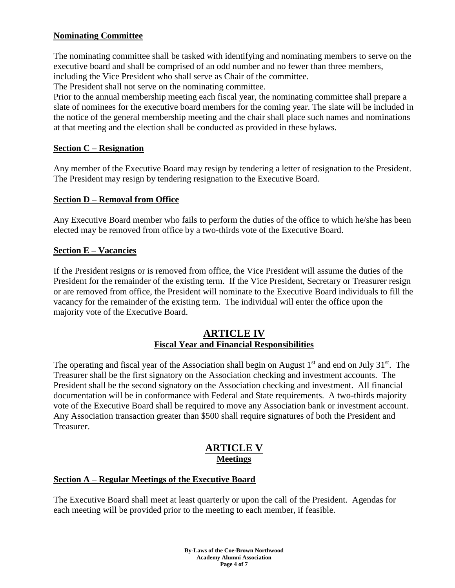### **Nominating Committee**

The nominating committee shall be tasked with identifying and nominating members to serve on the executive board and shall be comprised of an odd number and no fewer than three members, including the Vice President who shall serve as Chair of the committee.

The President shall not serve on the nominating committee.

Prior to the annual membership meeting each fiscal year, the nominating committee shall prepare a slate of nominees for the executive board members for the coming year. The slate will be included in the notice of the general membership meeting and the chair shall place such names and nominations at that meeting and the election shall be conducted as provided in these bylaws.

#### **Section C – Resignation**

Any member of the Executive Board may resign by tendering a letter of resignation to the President. The President may resign by tendering resignation to the Executive Board.

#### **Section D – Removal from Office**

Any Executive Board member who fails to perform the duties of the office to which he/she has been elected may be removed from office by a two-thirds vote of the Executive Board.

#### **Section E – Vacancies**

If the President resigns or is removed from office, the Vice President will assume the duties of the President for the remainder of the existing term. If the Vice President, Secretary or Treasurer resign or are removed from office, the President will nominate to the Executive Board individuals to fill the vacancy for the remainder of the existing term. The individual will enter the office upon the majority vote of the Executive Board.

#### **ARTICLE IV Fiscal Year and Financial Responsibilities**

The operating and fiscal year of the Association shall begin on August  $1<sup>st</sup>$  and end on July  $31<sup>st</sup>$ . The Treasurer shall be the first signatory on the Association checking and investment accounts. The President shall be the second signatory on the Association checking and investment. All financial documentation will be in conformance with Federal and State requirements. A two-thirds majority vote of the Executive Board shall be required to move any Association bank or investment account. Any Association transaction greater than \$500 shall require signatures of both the President and Treasurer.

## **ARTICLE V Meetings**

### **Section A – Regular Meetings of the Executive Board**

The Executive Board shall meet at least quarterly or upon the call of the President. Agendas for each meeting will be provided prior to the meeting to each member, if feasible.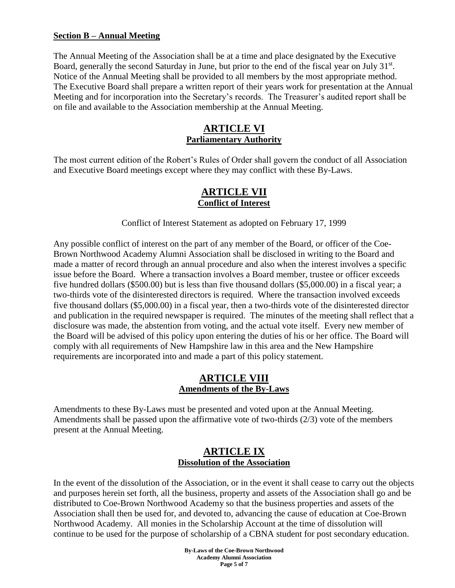#### **Section B – Annual Meeting**

The Annual Meeting of the Association shall be at a time and place designated by the Executive Board, generally the second Saturday in June, but prior to the end of the fiscal year on July 31st. Notice of the Annual Meeting shall be provided to all members by the most appropriate method. The Executive Board shall prepare a written report of their years work for presentation at the Annual Meeting and for incorporation into the Secretary's records. The Treasurer's audited report shall be on file and available to the Association membership at the Annual Meeting.

### **ARTICLE VI Parliamentary Authority**

The most current edition of the Robert's Rules of Order shall govern the conduct of all Association and Executive Board meetings except where they may conflict with these By-Laws.

### **ARTICLE VII Conflict of Interest**

Conflict of Interest Statement as adopted on February 17, 1999

Any possible conflict of interest on the part of any member of the Board, or officer of the Coe-Brown Northwood Academy Alumni Association shall be disclosed in writing to the Board and made a matter of record through an annual procedure and also when the interest involves a specific issue before the Board. Where a transaction involves a Board member, trustee or officer exceeds five hundred dollars (\$500.00) but is less than five thousand dollars (\$5,000.00) in a fiscal year; a two-thirds vote of the disinterested directors is required. Where the transaction involved exceeds five thousand dollars (\$5,000.00) in a fiscal year, then a two-thirds vote of the disinterested director and publication in the required newspaper is required. The minutes of the meeting shall reflect that a disclosure was made, the abstention from voting, and the actual vote itself. Every new member of the Board will be advised of this policy upon entering the duties of his or her office. The Board will comply with all requirements of New Hampshire law in this area and the New Hampshire requirements are incorporated into and made a part of this policy statement.

### **ARTICLE VIII Amendments of the By-Laws**

Amendments to these By-Laws must be presented and voted upon at the Annual Meeting. Amendments shall be passed upon the affirmative vote of two-thirds (2/3) vote of the members present at the Annual Meeting.

# **ARTICLE IX Dissolution of the Association**

In the event of the dissolution of the Association, or in the event it shall cease to carry out the objects and purposes herein set forth, all the business, property and assets of the Association shall go and be distributed to Coe-Brown Northwood Academy so that the business properties and assets of the Association shall then be used for, and devoted to, advancing the cause of education at Coe-Brown Northwood Academy. All monies in the Scholarship Account at the time of dissolution will continue to be used for the purpose of scholarship of a CBNA student for post secondary education.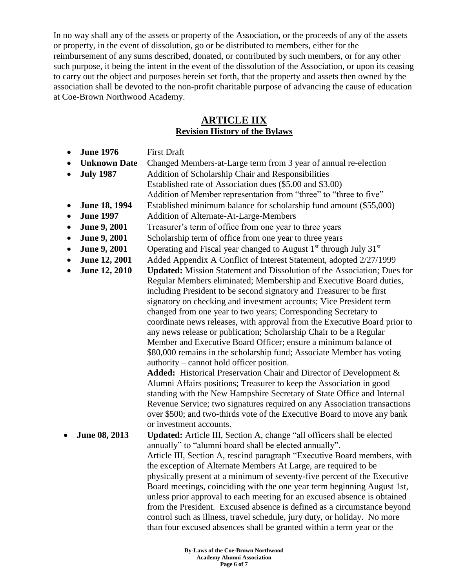In no way shall any of the assets or property of the Association, or the proceeds of any of the assets or property, in the event of dissolution, go or be distributed to members, either for the reimbursement of any sums described, donated, or contributed by such members, or for any other such purpose, it being the intent in the event of the dissolution of the Association, or upon its ceasing to carry out the object and purposes herein set forth, that the property and assets then owned by the association shall be devoted to the non-profit charitable purpose of advancing the cause of education at Coe-Brown Northwood Academy.

### **ARTICLE IIX Revision History of the Bylaws**

- **June 1976** First Draft
- **Unknown Date** Changed Members-at-Large term from 3 year of annual re-election
- 
- **July 1987** Addition of Scholarship Chair and Responsibilities
	- Established rate of Association dues (\$5.00 and \$3.00)
	- Addition of Member representation from "three" to "three to five"
- **June 18, 1994** Established minimum balance for scholarship fund amount (\$55,000)
- **June 1997** Addition of Alternate-At-Large-Members
- **June 9, 2001** Treasurer's term of office from one year to three years
- **June 9, 2001** Scholarship term of office from one year to three years
- **June 9, 2001** Operating and Fiscal year changed to August  $1<sup>st</sup>$  through July  $31<sup>st</sup>$
- **June 12, 2001** Added Appendix A Conflict of Interest Statement, adopted 2/27/1999
- **June 12, 2010 Updated:** Mission Statement and Dissolution of the Association; Dues for Regular Members eliminated; Membership and Executive Board duties, including President to be second signatory and Treasurer to be first signatory on checking and investment accounts; Vice President term changed from one year to two years; Corresponding Secretary to coordinate news releases, with approval from the Executive Board prior to any news release or publication; Scholarship Chair to be a Regular Member and Executive Board Officer; ensure a minimum balance of \$80,000 remains in the scholarship fund; Associate Member has voting authority – cannot hold officer position.

**Added:** Historical Preservation Chair and Director of Development & Alumni Affairs positions; Treasurer to keep the Association in good standing with the New Hampshire Secretary of State Office and Internal Revenue Service; two signatures required on any Association transactions over \$500; and two-thirds vote of the Executive Board to move any bank or investment accounts.

 **June 08, 2013 Updated:** Article III, Section A, change "all officers shall be elected annually" to "alumni board shall be elected annually". Article III, Section A, rescind paragraph "Executive Board members, with the exception of Alternate Members At Large, are required to be physically present at a minimum of seventy-five percent of the Executive Board meetings, coinciding with the one year term beginning August 1st, unless prior approval to each meeting for an excused absence is obtained from the President. Excused absence is defined as a circumstance beyond control such as illness, travel schedule, jury duty, or holiday. No more than four excused absences shall be granted within a term year or the